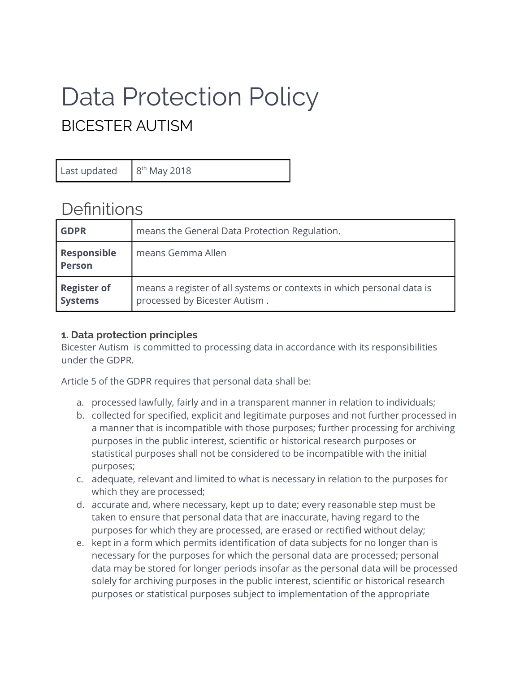# Data Protection Policy BICESTER AUTISM

Last updated

8<sup>th</sup> May 2018

# **Definitions**

| <b>GDPR</b>                          | means the General Data Protection Regulation.                                                          |
|--------------------------------------|--------------------------------------------------------------------------------------------------------|
| Responsible<br><b>Person</b>         | means Gemma Allen                                                                                      |
| <b>Register of</b><br><b>Systems</b> | means a register of all systems or contexts in which personal data is<br>processed by Bicester Autism. |

# **1. Data protection principles**

Bicester Autism is committed to processing data in accordance with its responsibilities under the GDPR.

Article 5 of the GDPR requires that personal data shall be:

- a. processed lawfully, fairly and in a transparent manner in relation to individuals;
- b. collected for specified, explicit and legitimate purposes and not further processed in a manner that is incompatible with those purposes; further processing for archiving purposes in the public interest, scientific or historical research purposes or statistical purposes shall not be considered to be incompatible with the initial purposes;
- c. adequate, relevant and limited to what is necessary in relation to the purposes for which they are processed;
- d. accurate and, where necessary, kept up to date; every reasonable step must be taken to ensure that personal data that are inaccurate, having regard to the purposes for which they are processed, are erased or rectified without delay;
- e. kept in a form which permits identification of data subjects for no longer than is necessary for the purposes for which the personal data are processed; personal data may be stored for longer periods insofar as the personal data will be processed solely for archiving purposes in the public interest, scientific or historical research purposes or statistical purposes subject to implementation of the appropriate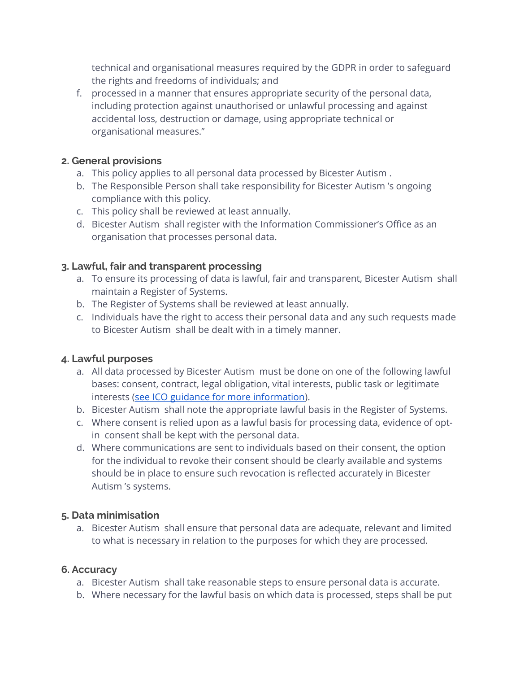technical and organisational measures required by the GDPR in order to safeguard the rights and freedoms of individuals; and

f. processed in a manner that ensures appropriate security of the personal data, including protection against unauthorised or unlawful processing and against accidental loss, destruction or damage, using appropriate technical or organisational measures."

#### **2. General provisions**

- a. This policy applies to all personal data processed by Bicester Autism .
- b. The Responsible Person shall take responsibility for Bicester Autism 's ongoing compliance with this policy.
- c. This policy shall be reviewed at least annually.
- d. Bicester Autism shall register with the Information Commissioner's Office as an organisation that processes personal data.

#### **3. Lawful, fair and transparent processing**

- a. To ensure its processing of data is lawful, fair and transparent, Bicester Autism shall maintain a Register of Systems.
- b. The Register of Systems shall be reviewed at least annually.
- c. Individuals have the right to access their personal data and any such requests made to Bicester Autism shall be dealt with in a timely manner.

# **4. Lawful purposes**

- a. All data processed by Bicester Autism must be done on one of the following lawful bases: consent, contract, legal obligation, vital interests, public task or legitimate interests [\(see ICO guidance for more information\)](https://ico.org.uk/for-organisations/guide-to-the-general-data-protection-regulation-gdpr/lawful-basis-for-processing/).
- b. Bicester Autism shall note the appropriate lawful basis in the Register of Systems.
- c. Where consent is relied upon as a lawful basis for processing data, evidence of optin consent shall be kept with the personal data.
- d. Where communications are sent to individuals based on their consent, the option for the individual to revoke their consent should be clearly available and systems should be in place to ensure such revocation is reflected accurately in Bicester Autism 's systems.

#### **5. Data minimisation**

a. Bicester Autism shall ensure that personal data are adequate, relevant and limited to what is necessary in relation to the purposes for which they are processed.

# **6. Accuracy**

- a. Bicester Autism shall take reasonable steps to ensure personal data is accurate.
- b. Where necessary for the lawful basis on which data is processed, steps shall be put